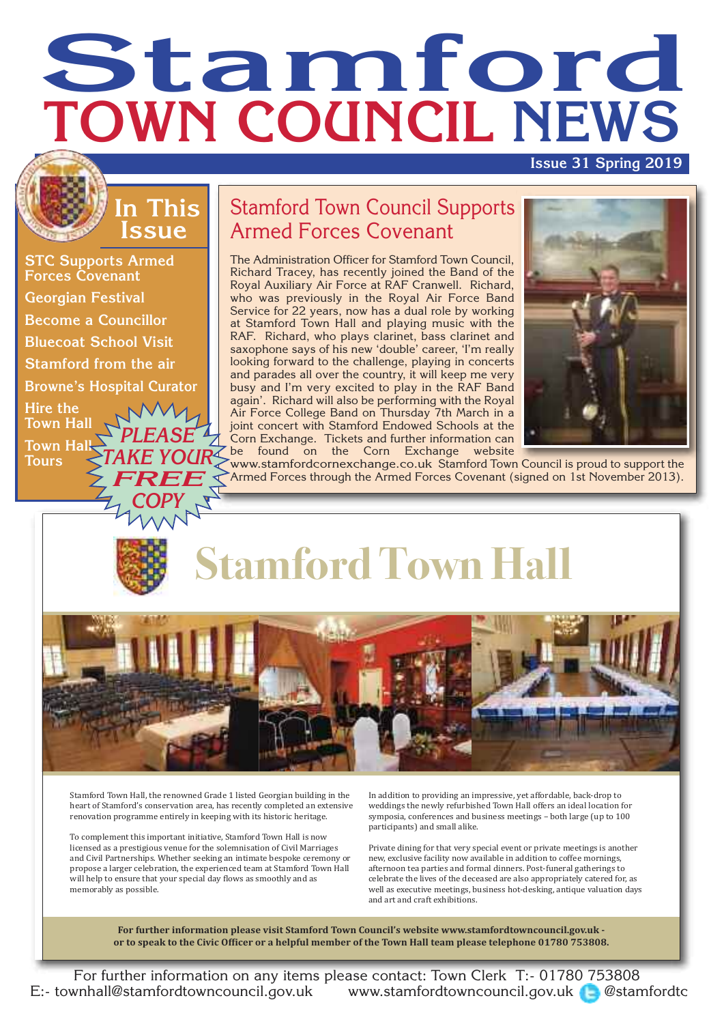# **Stamford TOWN COUNCIL NEWS**

#### **Issue 31 Spring 2019**

#### **In This Issue**

*COPY*

**STC Supports Armed Forces Covenant Georgian Festival Become a Councillor Bluecoat School Visit Stamford from the air Browne's Hospital Curator Hire the Town Hall Town Hall Tours** *PLEASE TAKE YOUR FREE*

#### Stamford Town Council Supports Armed Forces Covenant

The Administration Officer for Stamford Town Council, Richard Tracey, has recently joined the Band of the Royal Auxiliary Air Force at RAF Cranwell. Richard, who was previously in the Royal Air Force Band Service for 22 years, now has a dual role by working at Stamford Town Hall and playing music with the RAF. Richard, who plays clarinet, bass clarinet and saxophone says of his new 'double' career, 'I'm really looking forward to the challenge, playing in concerts and parades all over the country, it will keep me very busy and I'm very excited to play in the RAF Band again'. Richard will also be performing with the Royal Air Force College Band on Thursday 7th March in a joint concert with Stamford Endowed Schools at the Corn Exchange. Tickets and further information can be found on the Corn Exchange website



www.stamfordcornexchange.co.uk Stamford Town Council is proud to support the Armed Forces through the Armed Forces Covenant (signed on 1st November 2013).





Stamford Town Hall, the renowned Grade 1 listed Georgian building in the heart of Stamford's conservation area, has recently completed an extensive renovation programme entirely in keeping with its historic heritage.

To complement this important initiative, Stamford Town Hall is now licensed as a prestigious venue for the solemnisation of Civil Marriages and Civil Partnerships. Whether seeking an intimate bespoke ceremony or propose a larger celebration, the experienced team at Stamford Town Hall will help to ensure that your special day flows as smoothly and as memorably as possible.

In addition to providing an impressive, yet affordable, back‐drop to weddings the newly refurbished Town Hall offers an ideal location for symposia, conferences and business meetings – both large (up to 100 participants) and small alike.

Private dining for that very special event or private meetings is another new, exclusive facility now available in addition to coffee mornings, afternoon tea parties and formal dinners. Post‐funeral gatherings to celebrate the lives of the deceased are also appropriately catered for, as well as executive meetings, business hot‐desking, antique valuation days and art and craft exhibitions.

**For further information please visit Stamford Town Council's website www.stamfordtowncouncil.gov.uk**  or to speak to the Civic Officer or a helpful member of the Town Hall team please telephone 01780 753808.

For further information on any items please contact: Town Clerk T:- 01780 753808 E:- townhall@stamfordtowncouncil.gov.uk www.stamfordtowncouncil.gov.uk **@stamfordtc**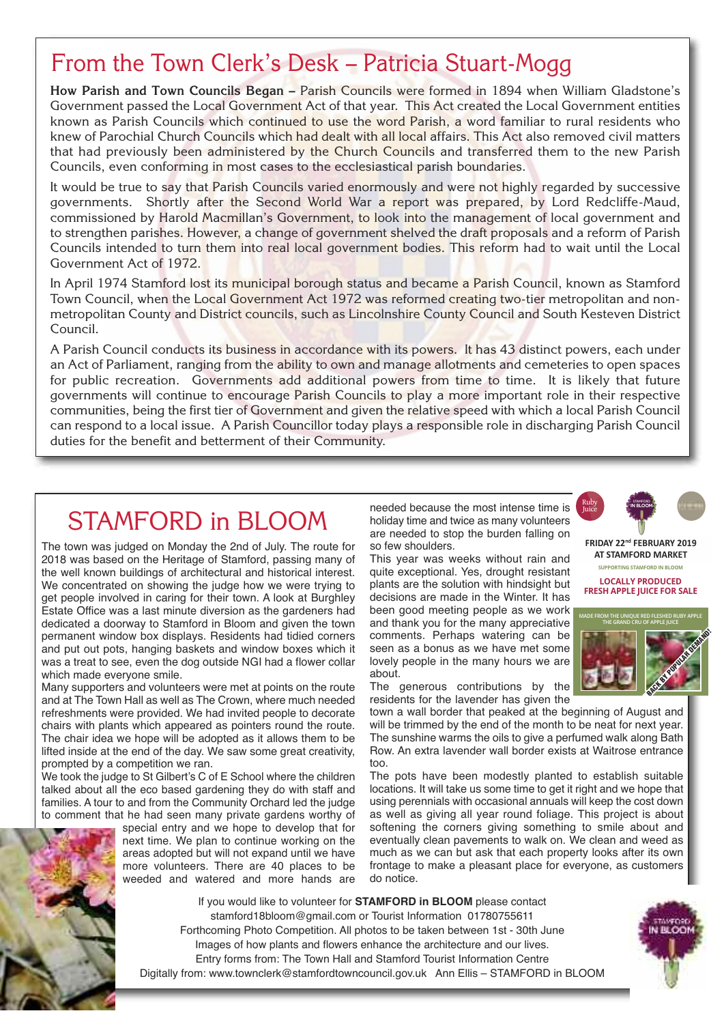#### From the Town Clerk's Desk – Patricia Stuart-Mogg

**How Parish and Town Councils Began –** Parish Councils were formed in 1894 when William Gladstone's Government passed the Local Government Act of that year. This Act created the Local Government entities known as Parish Councils which continued to use the word Parish, a word familiar to rural residents who knew of Parochial Church Councils which had dealt with all local affairs. This Act also removed civil matters that had previously been administered by the Church Councils and transferred them to the new Parish Councils, even conforming in most cases to the ecclesiastical parish boundaries.

It would be true to say that Parish Councils varied enormously and were not highly regarded by successive governments. Shortly after the Second World War a report was prepared, by Lord Redcliffe-Maud, commissioned by Harold Macmillan's Government, to look into the management of local government and to strengthen parishes. However, a change of government shelved the draft proposals and a reform of Parish Councils intended to turn them into real local government bodies. This reform had to wait until the Local Government Act of 1972.

In April 1974 Stamford lost its municipal borough status and became a Parish Council, known as Stamford Town Council, when the Local Government Act 1972 was reformed creating two-tier metropolitan and nonmetropolitan County and District councils, such as Lincolnshire County Council and South Kesteven District Council.

A Parish Council conducts its business in accordance with its powers. It has 43 distinct powers, each under an Act of Parliament, ranging from the ability to own and manage allotments and cemeteries to open spaces for public recreation. Governments add additional powers from time to time. It is likely that future governments will continue to encourage Parish Councils to play a more important role in their respective communities, being the first tier of Government and given the relative speed with which a local Parish Council can respond to a local issue. A Parish Councillor today plays a responsible role in discharging Parish Council duties for the benefit and betterment of their Community.

### STAMFORD in BLOOM

The town was judged on Monday the 2nd of July. The route for 2018 was based on the Heritage of Stamford, passing many of the well known buildings of architectural and historical interest. We concentrated on showing the judge how we were trying to get people involved in caring for their town. A look at Burghley Estate Office was a last minute diversion as the gardeners had dedicated a doorway to Stamford in Bloom and given the town permanent window box displays. Residents had tidied corners and put out pots, hanging baskets and window boxes which it was a treat to see, even the dog outside NGI had a flower collar which made everyone smile.

Many supporters and volunteers were met at points on the route and at The Town Hall as well as The Crown, where much needed refreshments were provided. We had invited people to decorate chairs with plants which appeared as pointers round the route. The chair idea we hope will be adopted as it allows them to be lifted inside at the end of the day. We saw some great creativity, prompted by a competition we ran.

We took the judge to St Gilbert's C of E School where the children talked about all the eco based gardening they do with staff and families. A tour to and from the Community Orchard led the judge to comment that he had seen many private gardens worthy of

special entry and we hope to develop that for next time. We plan to continue working on the areas adopted but will not expand until we have more volunteers. There are 40 places to be weeded and watered and more hands are needed because the most intense time is holiday time and twice as many volunteers are needed to stop the burden falling on so few shoulders.

This year was weeks without rain and quite exceptional. Yes, drought resistant plants are the solution with hindsight but decisions are made in the Winter. It has been good meeting people as we work and thank you for the many appreciative comments. Perhaps watering can be seen as a bonus as we have met some lovely people in the many hours we are about.

The generous contributions by the residents for the lavender has given the

town a wall border that peaked at the beginning of August and will be trimmed by the end of the month to be neat for next year. The sunshine warms the oils to give a perfumed walk along Bath Row. An extra lavender wall border exists at Waitrose entrance too.

The pots have been modestly planted to establish suitable locations. It will take us some time to get it right and we hope that using perennials with occasional annuals will keep the cost down as well as giving all year round foliage. This project is about softening the corners giving something to smile about and eventually clean pavements to walk on. We clean and weed as much as we can but ask that each property looks after its own frontage to make a pleasant place for everyone, as customers do notice.

If you would like to volunteer for **STAMFORD in BLOOM** please contact stamford18bloom@gmail.com or Tourist Information 01780755611 Forthcoming Photo Competition. All photos to be taken between 1st - 30th June Images of how plants and flowers enhance the architecture and our lives. Entry forms from: The Town Hall and Stamford Tourist Information Centre Digitally from: www.townclerk@stamfordtowncouncil.gov.uk Ann Ellis – STAMFORD in BLOOM



**FRIDAY 11th JANUARY 2019 FRIDAY 22nd FEBRUARY 2019 AT STAMFORD MARKET AT STAMFORD MARKET SUPPORTING STAMFORD IN BLOOM LOCALLY PRODUCED FRESH APPLE JUICE FOR SALE** 





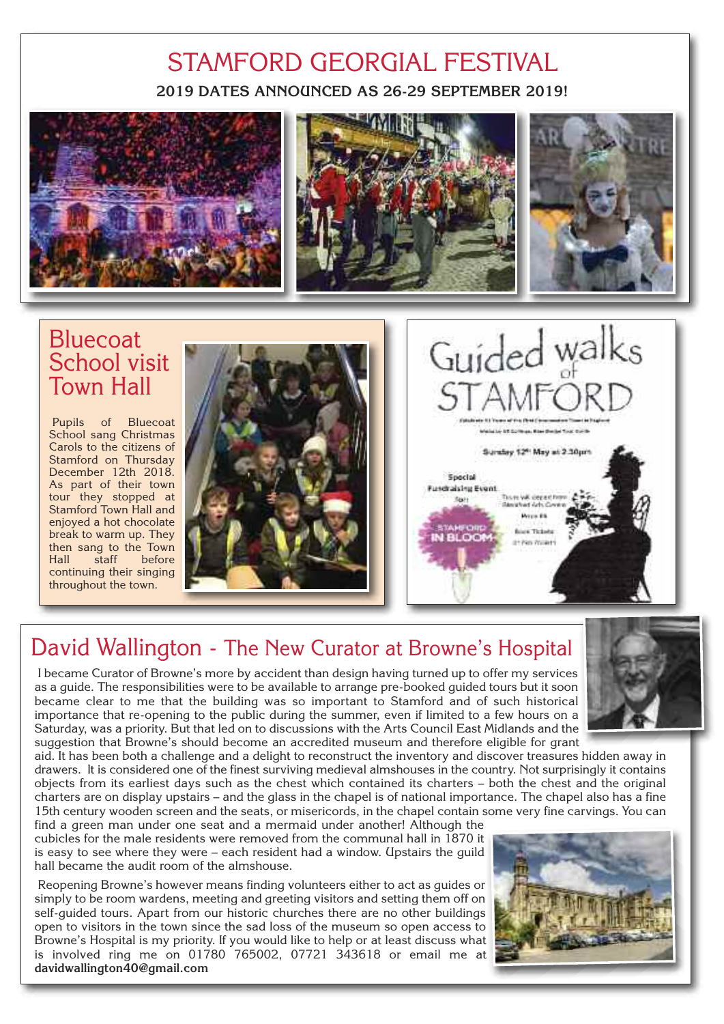#### **2019 DATES ANNOUNCED AS 26-29 SEPTEMBER 2019!** STAMFORD GEORGIAL FESTIVAL



#### **Bluecoat** School visit Town Hall

Pupils of Bluecoat School sang Christmas Carols to the citizens of Stamford on Thursday December 12th 2018. As part of their town tour they stopped at Stamford Town Hall and enjoyed a hot chocolate break to warm up. They then sang to the Town Hall staff before continuing their singing throughout the town.





#### David Wallington - The New Curator at Browne's Hospital

I became Curator of Browne's more by accident than design having turned up to offer my services as a guide. The responsibilities were to be available to arrange pre-booked guided tours but it soon became clear to me that the building was so important to Stamford and of such historical importance that re-opening to the public during the summer, even if limited to a few hours on a Saturday, was a priority. But that led on to discussions with the Arts Council East Midlands and the suggestion that Browne's should become an accredited museum and therefore eligible for grant

aid. It has been both a challenge and a delight to reconstruct the inventory and discover treasures hidden away in drawers. It is considered one of the finest surviving medieval almshouses in the country. Not surprisingly it contains objects from its earliest days such as the chest which contained its charters – both the chest and the original charters are on display upstairs – and the glass in the chapel is of national importance. The chapel also has a fine 15th century wooden screen and the seats, or misericords, in the chapel contain some very fine carvings. You can

find a green man under one seat and a mermaid under another! Although the cubicles for the male residents were removed from the communal hall in 1870 it is easy to see where they were – each resident had a window. Upstairs the guild hall became the audit room of the almshouse.

Reopening Browne's however means finding volunteers either to act as guides or simply to be room wardens, meeting and greeting visitors and setting them off on self-guided tours. Apart from our historic churches there are no other buildings open to visitors in the town since the sad loss of the museum so open access to Browne's Hospital is my priority. If you would like to help or at least discuss what is involved ring me on 01780 765002, 07721 343618 or email me at **davidwallington40@gmail.com**



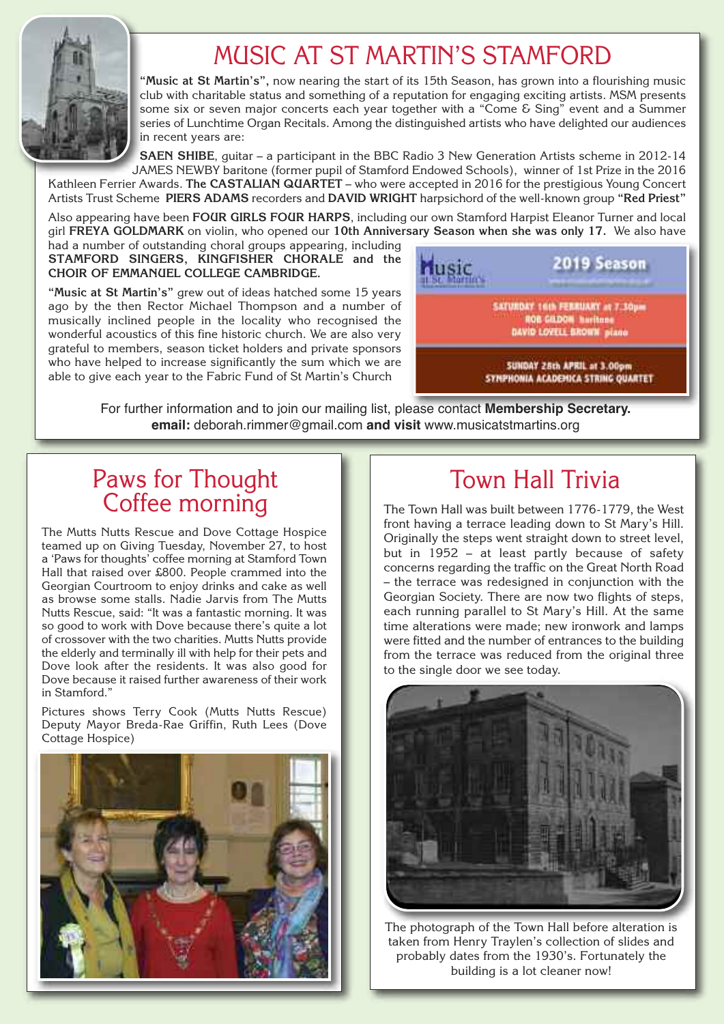

## MUSIC AT ST MARTIN'S STAMFORD

**"Music at St Martin's",** now nearing the start of its 15th Season, has grown into a flourishing music club with charitable status and something of a reputation for engaging exciting artists. MSM presents some six or seven major concerts each year together with a "Come & Sing" event and a Summer series of Lunchtime Organ Recitals. Among the distinguished artists who have delighted our audiences in recent years are:

**SAEN SHIBE**, guitar – a participant in the BBC Radio 3 New Generation Artists scheme in 2012-14 JAMES NEWBY baritone (former pupil of Stamford Endowed Schools), winner of 1st Prize in the 2016

Kathleen Ferrier Awards. **The CASTALIAN QUARTET** – who were accepted in 2016 for the prestigious Young Concert Artists Trust Scheme **PIERS ADAMS** recorders and **DAVID WRIGHT** harpsichord of the well-known group **"Red Priest"**

Also appearing have been **FOUR GIRLS FOUR HARPS**, including our own Stamford Harpist Eleanor Turner and local girl **FREYA GOLDMARK** on violin, who opened our **10th Anniversary Season when she was only 17.** We also have

had a number of outstanding choral groups appearing, including **STAMFORD SINGERS, KINGFISHER CHORALE and the CHOIR OF EMMANUEL COLLEGE CAMBRIDGE.**

**"Music at St Martin's"** grew out of ideas hatched some 15 years ago by the then Rector Michael Thompson and a number of musically inclined people in the locality who recognised the wonderful acoustics of this fine historic church. We are also very grateful to members, season ticket holders and private sponsors who have helped to increase significantly the sum which we are able to give each year to the Fabric Fund of St Martin's Church



For further information and to join our mailing list, please contact **Membership Secretary. email:** deborah.rimmer@gmail.com **and visit** www.musicatstmartins.org

#### Paws for Thought Coffee morning

The Mutts Nutts Rescue and Dove Cottage Hospice teamed up on Giving Tuesday, November 27, to host a 'Paws for thoughts' coffee morning at Stamford Town Hall that raised over £800. People crammed into the Georgian Courtroom to enjoy drinks and cake as well as browse some stalls. Nadie Jarvis from The Mutts Nutts Rescue, said: "It was a fantastic morning. It was so good to work with Dove because there's quite a lot of crossover with the two charities. Mutts Nutts provide the elderly and terminally ill with help for their pets and Dove look after the residents. It was also good for Dove because it raised further awareness of their work in Stamford."

Pictures shows Terry Cook (Mutts Nutts Rescue) Deputy Mayor Breda-Rae Griffin, Ruth Lees (Dove Cottage Hospice)



#### Town Hall Trivia

The Town Hall was built between 1776-1779, the West front having a terrace leading down to St Mary's Hill. Originally the steps went straight down to street level, but in 1952 – at least partly because of safety concerns regarding the traffic on the Great North Road – the terrace was redesigned in conjunction with the Georgian Society. There are now two flights of steps, each running parallel to St Mary's Hill. At the same time alterations were made; new ironwork and lamps were fitted and the number of entrances to the building from the terrace was reduced from the original three to the single door we see today.



The photograph of the Town Hall before alteration is taken from Henry Traylen's collection of slides and probably dates from the 1930's. Fortunately the building is a lot cleaner now!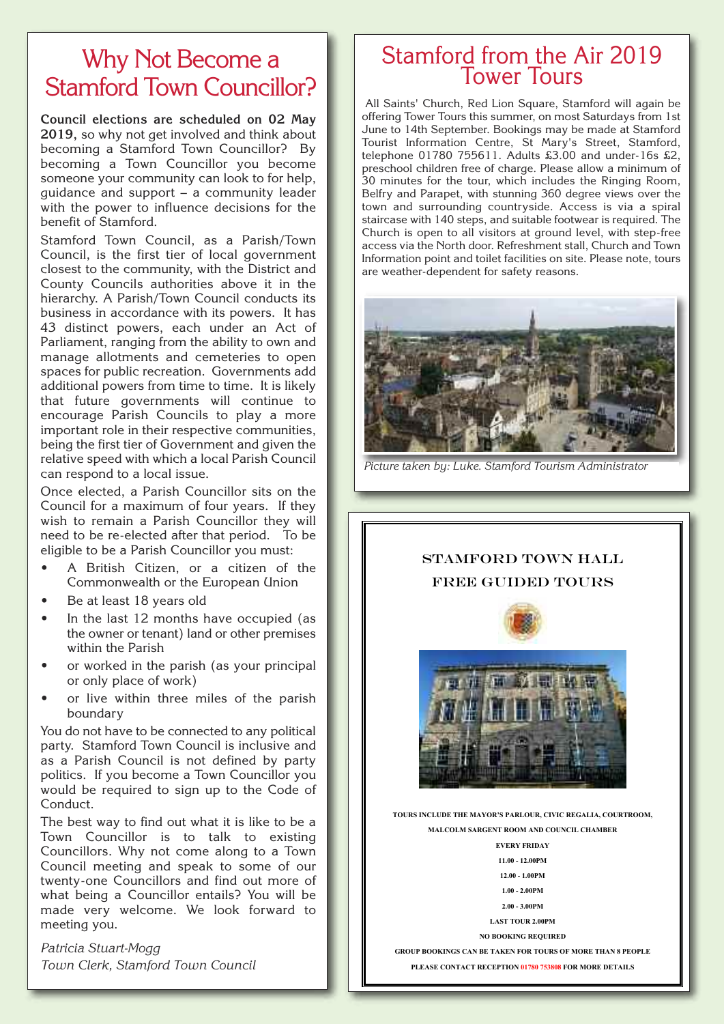#### Why Not Become a Stamford Town Councillor?

**Council elections are scheduled on 02 May 2019,** so why not get involved and think about becoming a Stamford Town Councillor? By becoming a Town Councillor you become someone your community can look to for help, guidance and support – a community leader with the power to influence decisions for the benefit of Stamford.

Stamford Town Council, as a Parish/Town Council, is the first tier of local government closest to the community, with the District and County Councils authorities above it in the hierarchy. A Parish/Town Council conducts its business in accordance with its powers. It has 43 distinct powers, each under an Act of Parliament, ranging from the ability to own and manage allotments and cemeteries to open spaces for public recreation. Governments add additional powers from time to time. It is likely that future governments will continue to encourage Parish Councils to play a more important role in their respective communities, being the first tier of Government and given the relative speed with which a local Parish Council can respond to a local issue.

Once elected, a Parish Councillor sits on the Council for a maximum of four years. If they wish to remain a Parish Councillor they will need to be re-elected after that period. To be eligible to be a Parish Councillor you must:

- A British Citizen, or a citizen of the Commonwealth or the European Union
- Be at least 18 years old
- In the last 12 months have occupied (as the owner or tenant) land or other premises within the Parish
- or worked in the parish (as your principal or only place of work)
- or live within three miles of the parish boundary

You do not have to be connected to any political party. Stamford Town Council is inclusive and as a Parish Council is not defined by party politics. If you become a Town Councillor you would be required to sign up to the Code of Conduct.

The best way to find out what it is like to be a Town Councillor is to talk to existing Councillors. Why not come along to a Town Council meeting and speak to some of our twenty-one Councillors and find out more of what being a Councillor entails? You will be made very welcome. We look forward to meeting you.

*Patricia Stuart-Mogg Town Clerk, Stamford Town Council*

#### Stamford from the Air 2019 Tower Tours

All Saints' Church, Red Lion Square, Stamford will again be offering Tower Tours this summer, on most Saturdays from 1st June to 14th September. Bookings may be made at Stamford Tourist Information Centre, St Mary's Street, Stamford, telephone 01780 755611. Adults £3.00 and under-16s £2, preschool children free of charge. Please allow a minimum of 30 minutes for the tour, which includes the Ringing Room, Belfry and Parapet, with stunning 360 degree views over the town and surrounding countryside. Access is via a spiral staircase with 140 steps, and suitable footwear is required. The Church is open to all visitors at ground level, with step-free access via the North door. Refreshment stall, Church and Town Information point and toilet facilities on site. Please note, tours are weather-dependent for safety reasons.



*Picture taken by: Luke. Stamford Tourism Administrator*



STAMFORD TOWN HALL FREE GUIDED TOURS

**TOURS INCLUDE THE MAYOR'S PARLOUR, CIVIC REGALIA, COURTROOM, MALCOLM SARGENT ROOM AND COUNCIL CHAMBER** 

**EVERY FRIDAY** 

**11.00 - 12.00PM** 

**12.00 - 1.00PM** 

**1.00 - 2.00PM 2.00 - 3.00PM** 

**LAST TOUR 2.00PM** 

**NO BOOKING REQUIRED** 

**GROUP BOOKINGS CAN BE TAKEN FOR TOURS OF MORE THAN 8 PEOPLE PLEASE CONTACT RECEPTION 01780 753808 FOR MORE DETAILS**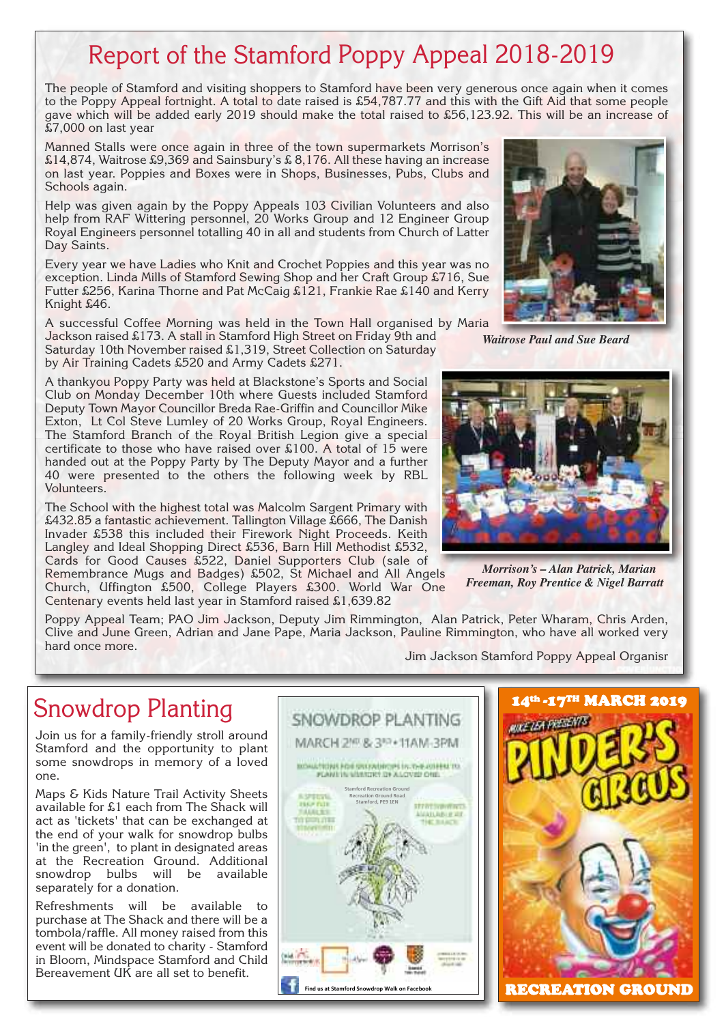## Report of the Stamford Poppy Appeal 2018-2019

The people of Stamford and visiting shoppers to Stamford have been very generous once again when it comes to the Poppy Appeal fortnight. A total to date raised is £54,787.77 and this with the Gift Aid that some people gave which will be added early 2019 should make the total raised to £56,123.92. This will be an increase of £7,000 on last year

Manned Stalls were once again in three of the town supermarkets Morrison's £14,874, Waitrose £9,369 and Sainsbury's £ 8,176. All these having an increase on last year. Poppies and Boxes were in Shops, Businesses, Pubs, Clubs and Schools again.

Help was given again by the Poppy Appeals 103 Civilian Volunteers and also help from RAF Wittering personnel, 20 Works Group and 12 Engineer Group Royal Engineers personnel totalling 40 in all and students from Church of Latter Day Saints.

Every year we have Ladies who Knit and Crochet Poppies and this year was no exception. Linda Mills of Stamford Sewing Shop and her Craft Group £716, Sue Futter £256, Karina Thorne and Pat McCaig £121, Frankie Rae £140 and Kerry Knight £46.

A successful Coffee Morning was held in the Town Hall organised by Maria Jackson raised £173. A stall in Stamford High Street on Friday 9th and

Saturday 10th November raised £1,319, Street Collection on Saturday by Air Training Cadets £520 and Army Cadets £271.

A thankyou Poppy Party was held at Blackstone's Sports and Social Club on Monday December 10th where Guests included Stamford Deputy Town Mayor Councillor Breda Rae-Griffin and Councillor Mike Exton, Lt Col Steve Lumley of 20 Works Group, Royal Engineers. The Stamford Branch of the Royal British Legion give a special certificate to those who have raised over £100. A total of 15 were handed out at the Poppy Party by The Deputy Mayor and a further 40 were presented to the others the following week by RBL Volunteers.

The School with the highest total was Malcolm Sargent Primary with £432.85 a fantastic achievement. Tallington Village £666, The Danish Invader £538 this included their Firework Night Proceeds. Keith Langley and Ideal Shopping Direct £536, Barn Hill Methodist £532, Cards for Good Causes £522, Daniel Supporters Club (sale of

Remembrance Mugs and Badges) £502, St Michael and All Angels Church, Uffington £500, College Players £300. World War One Centenary events held last year in Stamford raised £1,639.82



#### Snowdrop Planting

Join us for a family-friendly stroll around Stamford and the opportunity to plant some snowdrops in memory of a loved one.

Maps & Kids Nature Trail Activity Sheets available for £1 each from The Shack will act as 'tickets' that can be exchanged at the end of your walk for snowdrop bulbs 'in the green', to plant in designated areas at the Recreation Ground. Additional snowdrop bulbs will be available separately for a donation.

Refreshments will be available to purchase at The Shack and there will be a tombola/raffle. All money raised from this event will be donated to charity - Stamford in Bloom, Mindspace Stamford and Child Bereavement UK are all set to benefit.





*Waitrose Paul and Sue Beard*



*Morrison's – Alan Patrick, Marian Freeman, Roy Prentice & Nigel Barratt*

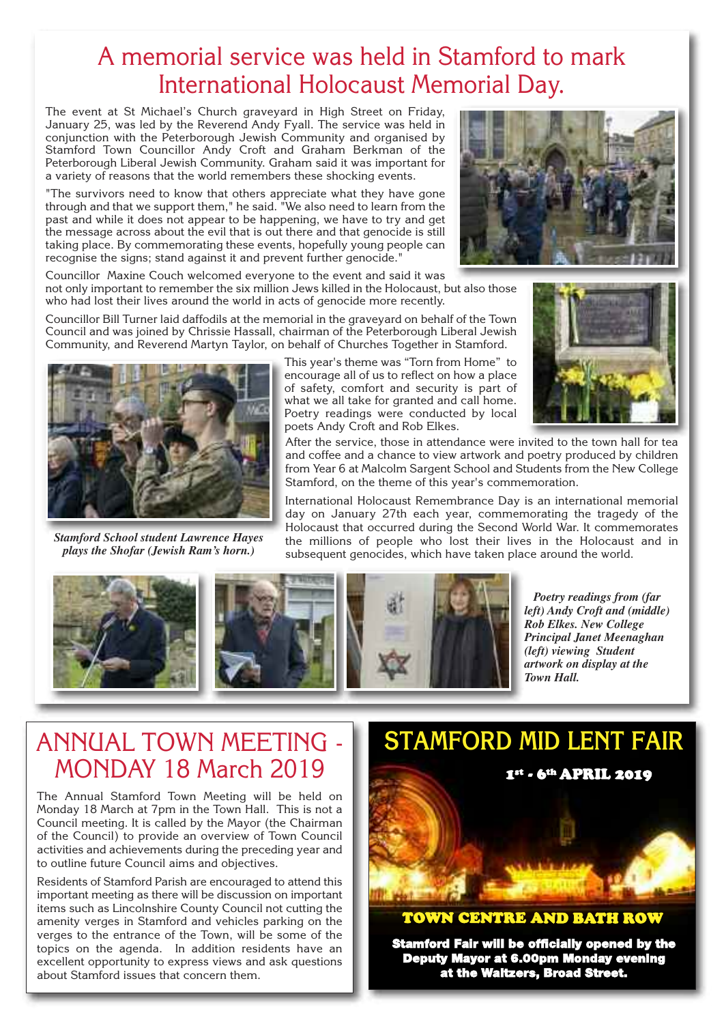#### A memorial service was held in Stamford to mark International Holocaust Memorial Day.

The event at St Michael's Church graveyard in High Street on Friday, January 25, was led by the Reverend Andy Fyall. The service was held in conjunction with the Peterborough Jewish Community and organised by Stamford Town Councillor Andy Croft and Graham Berkman of the Peterborough Liberal Jewish Community. Graham said it was important for a variety of reasons that the world remembers these shocking events.

"The survivors need to know that others appreciate what they have gone through and that we support them," he said. "We also need to learn from the past and while it does not appear to be happening, we have to try and get the message across about the evil that is out there and that genocide is still taking place. By commemorating these events, hopefully young people can recognise the signs; stand against it and prevent further genocide."

Councillor Maxine Couch welcomed everyone to the event and said it was not only important to remember the six million Jews killed in the Holocaust, but also those who had lost their lives around the world in acts of genocide more recently.

Councillor Bill Turner laid daffodils at the memorial in the graveyard on behalf of the Town Council and was joined by Chrissie Hassall, chairman of the Peterborough Liberal Jewish Community, and Reverend Martyn Taylor, on behalf of Churches Together in Stamford.

> This year's theme was "Torn from Home" to encourage all of us to reflect on how a place of safety, comfort and security is part of what we all take for granted and call home. Poetry readings were conducted by local poets Andy Croft and Rob Elkes.

After the service, those in attendance were invited to the town hall for tea and coffee and a chance to view artwork and poetry produced by children from Year 6 at Malcolm Sargent School and Students from the New College Stamford, on the theme of this year's commemoration.

International Holocaust Remembrance Day is an international memorial day on January 27th each year, commemorating the tragedy of the Holocaust that occurred during the Second World War. It commemorates the millions of people who lost their lives in the Holocaust and in subsequent genocides, which have taken place around the world.

> *Poetry readings from (far left) Andy Croft and (middle) Rob Elkes. New College Principal Janet Meenaghan (left) viewing Student artwork on display at the Town Hall.*

#### ANNUAL TOWN MEETING - MONDAY 18 March 2019

The Annual Stamford Town Meeting will be held on Monday 18 March at 7pm in the Town Hall. This is not a Council meeting. It is called by the Mayor (the Chairman of the Council) to provide an overview of Town Council activities and achievements during the preceding year and to outline future Council aims and objectives.

Residents of Stamford Parish are encouraged to attend this important meeting as there will be discussion on important items such as Lincolnshire County Council not cutting the amenity verges in Stamford and vehicles parking on the verges to the entrance of the Town, will be some of the topics on the agenda. In addition residents have an excellent opportunity to express views and ask questions about Stamford issues that concern them.



#### **TOWN CENTRE AND BATH ROW**

**Stamford Fair will be officially opened by the Deputy Mayor at 6.00pm Monday evening at the Waltzers, Broad Street.**



*Stamford School student Lawrence Hayes plays the Shofar (Jewish Ram's horn.)*